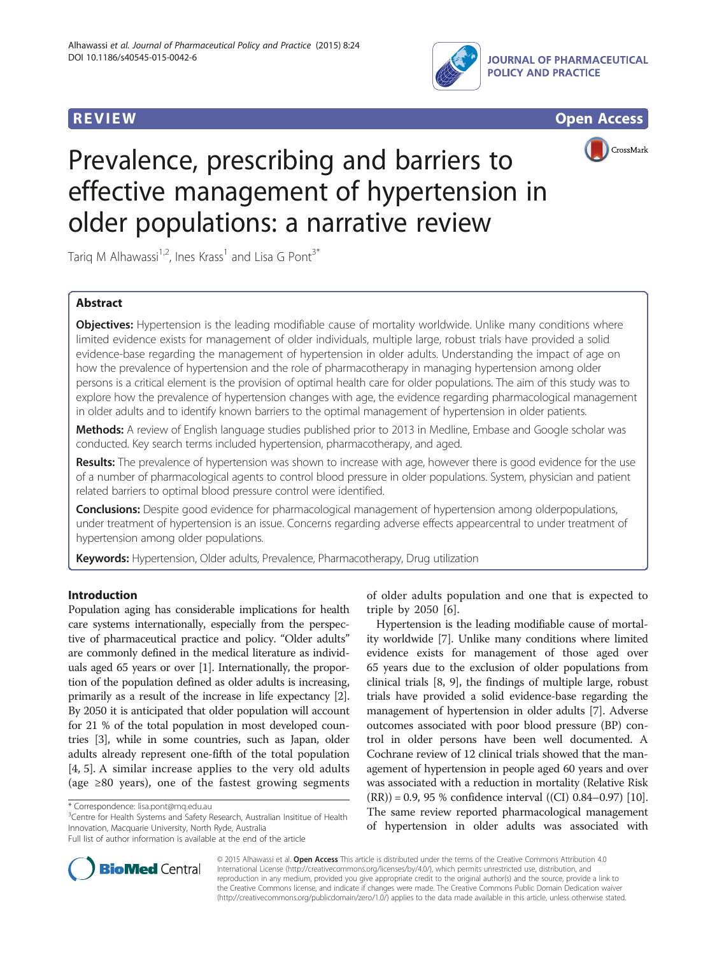





# Prevalence, prescribing and barriers to effective management of hypertension in older populations: a narrative review

Tarig M Alhawassi<sup>1,2</sup>, Ines Krass<sup>1</sup> and Lisa G Pont<sup>3\*</sup>

# Abstract

Objectives: Hypertension is the leading modifiable cause of mortality worldwide. Unlike many conditions where limited evidence exists for management of older individuals, multiple large, robust trials have provided a solid evidence-base regarding the management of hypertension in older adults. Understanding the impact of age on how the prevalence of hypertension and the role of pharmacotherapy in managing hypertension among older persons is a critical element is the provision of optimal health care for older populations. The aim of this study was to explore how the prevalence of hypertension changes with age, the evidence regarding pharmacological management in older adults and to identify known barriers to the optimal management of hypertension in older patients.

Methods: A review of English language studies published prior to 2013 in Medline, Embase and Google scholar was conducted. Key search terms included hypertension, pharmacotherapy, and aged.

Results: The prevalence of hypertension was shown to increase with age, however there is good evidence for the use of a number of pharmacological agents to control blood pressure in older populations. System, physician and patient related barriers to optimal blood pressure control were identified.

**Conclusions:** Despite good evidence for pharmacological management of hypertension among olderpopulations, under treatment of hypertension is an issue. Concerns regarding adverse effects appearcentral to under treatment of hypertension among older populations.

Keywords: Hypertension, Older adults, Prevalence, Pharmacotherapy, Drug utilization

# Introduction

Population aging has considerable implications for health care systems internationally, especially from the perspective of pharmaceutical practice and policy. "Older adults" are commonly defined in the medical literature as individuals aged 65 years or over [\[1\]](#page-4-0). Internationally, the proportion of the population defined as older adults is increasing, primarily as a result of the increase in life expectancy [[2](#page-4-0)]. By 2050 it is anticipated that older population will account for 21 % of the total population in most developed countries [[3](#page-4-0)], while in some countries, such as Japan, older adults already represent one-fifth of the total population [[4, 5](#page-4-0)]. A similar increase applies to the very old adults (age ≥80 years), one of the fastest growing segments

<sup>3</sup> Centre for Health Systems and Safety Research, Australian Insititue of Health Innovation, Macquarie University, North Ryde, Australia

of older adults population and one that is expected to triple by 2050 [[6\]](#page-4-0).

Hypertension is the leading modifiable cause of mortality worldwide [\[7\]](#page-4-0). Unlike many conditions where limited evidence exists for management of those aged over 65 years due to the exclusion of older populations from clinical trials [\[8, 9](#page-4-0)], the findings of multiple large, robust trials have provided a solid evidence-base regarding the management of hypertension in older adults [[7\]](#page-4-0). Adverse outcomes associated with poor blood pressure (BP) control in older persons have been well documented. A Cochrane review of 12 clinical trials showed that the management of hypertension in people aged 60 years and over was associated with a reduction in mortality (Relative Risk  $(RR)$ ) = 0.9, 95 % confidence interval ((CI) 0.84–0.97) [[10](#page-4-0)]. The same review reported pharmacological management of hypertension in older adults was associated with



© 2015 Alhawassi et al. Open Access This article is distributed under the terms of the Creative Commons Attribution 4.0 International License [\(http://creativecommons.org/licenses/by/4.0/](http://creativecommons.org/licenses/by/4.0/)), which permits unrestricted use, distribution, and reproduction in any medium, provided you give appropriate credit to the original author(s) and the source, provide a link to the Creative Commons license, and indicate if changes were made. The Creative Commons Public Domain Dedication waiver [\(http://creativecommons.org/publicdomain/zero/1.0/](http://creativecommons.org/publicdomain/zero/1.0/)) applies to the data made available in this article, unless otherwise stated.

<sup>\*</sup> Correspondence: [lisa.pont@mq.edu.au](mailto:lisa.pont@mq.edu.au) <sup>3</sup>

Full list of author information is available at the end of the article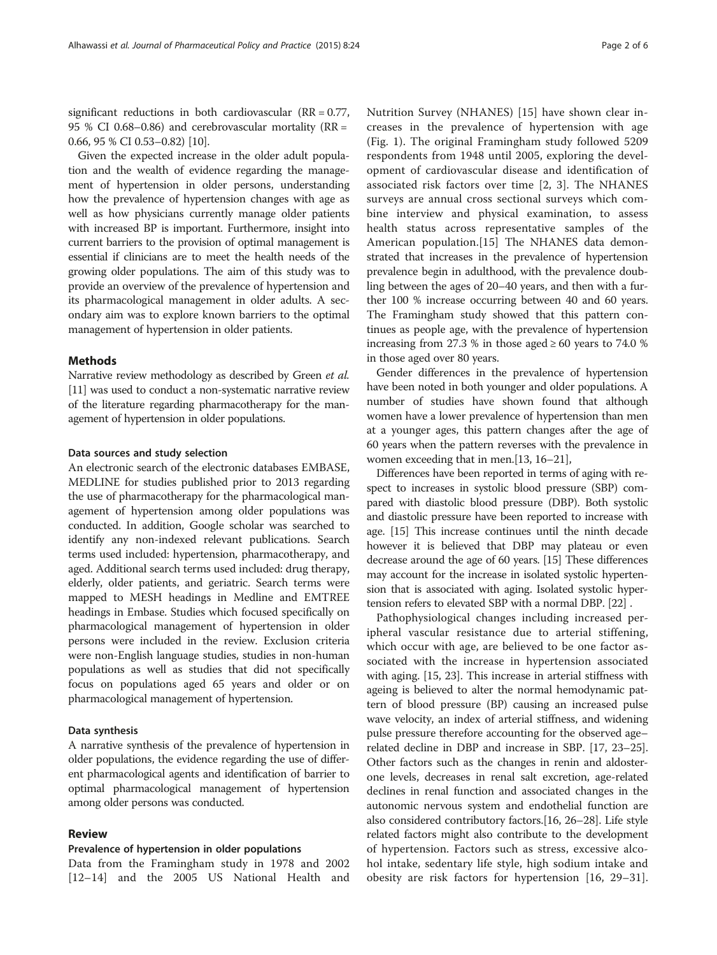significant reductions in both cardiovascular (RR = 0.77, 95 % CI 0.68–0.86) and cerebrovascular mortality (RR = 0.66, 95 % CI 0.53–0.82) [\[10](#page-4-0)].

Given the expected increase in the older adult population and the wealth of evidence regarding the management of hypertension in older persons, understanding how the prevalence of hypertension changes with age as well as how physicians currently manage older patients with increased BP is important. Furthermore, insight into current barriers to the provision of optimal management is essential if clinicians are to meet the health needs of the growing older populations. The aim of this study was to provide an overview of the prevalence of hypertension and its pharmacological management in older adults. A secondary aim was to explore known barriers to the optimal management of hypertension in older patients.

#### Methods

Narrative review methodology as described by Green et al. [[11](#page-4-0)] was used to conduct a non-systematic narrative review of the literature regarding pharmacotherapy for the management of hypertension in older populations.

#### Data sources and study selection

An electronic search of the electronic databases EMBASE, MEDLINE for studies published prior to 2013 regarding the use of pharmacotherapy for the pharmacological management of hypertension among older populations was conducted. In addition, Google scholar was searched to identify any non-indexed relevant publications. Search terms used included: hypertension, pharmacotherapy, and aged. Additional search terms used included: drug therapy, elderly, older patients, and geriatric. Search terms were mapped to MESH headings in Medline and EMTREE headings in Embase. Studies which focused specifically on pharmacological management of hypertension in older persons were included in the review. Exclusion criteria were non-English language studies, studies in non-human populations as well as studies that did not specifically focus on populations aged 65 years and older or on pharmacological management of hypertension.

#### Data synthesis

A narrative synthesis of the prevalence of hypertension in older populations, the evidence regarding the use of different pharmacological agents and identification of barrier to optimal pharmacological management of hypertension among older persons was conducted.

# Review

#### Prevalence of hypertension in older populations

Data from the Framingham study in 1978 and 2002 [[12](#page-4-0)–[14\]](#page-4-0) and the 2005 US National Health and Nutrition Survey (NHANES) [[15\]](#page-4-0) have shown clear increases in the prevalence of hypertension with age (Fig. [1\)](#page-2-0). The original Framingham study followed 5209 respondents from 1948 until 2005, exploring the development of cardiovascular disease and identification of associated risk factors over time [[2](#page-4-0), [3\]](#page-4-0). The NHANES surveys are annual cross sectional surveys which combine interview and physical examination, to assess health status across representative samples of the American population.[\[15](#page-4-0)] The NHANES data demonstrated that increases in the prevalence of hypertension prevalence begin in adulthood, with the prevalence doubling between the ages of 20–40 years, and then with a further 100 % increase occurring between 40 and 60 years. The Framingham study showed that this pattern continues as people age, with the prevalence of hypertension increasing from 27.3 % in those aged  $\geq 60$  years to 74.0 % in those aged over 80 years.

Gender differences in the prevalence of hypertension have been noted in both younger and older populations. A number of studies have shown found that although women have a lower prevalence of hypertension than men at a younger ages, this pattern changes after the age of 60 years when the pattern reverses with the prevalence in women exceeding that in men.[\[13, 16](#page-4-0)–[21\]](#page-4-0),

Differences have been reported in terms of aging with respect to increases in systolic blood pressure (SBP) compared with diastolic blood pressure (DBP). Both systolic and diastolic pressure have been reported to increase with age. [\[15\]](#page-4-0) This increase continues until the ninth decade however it is believed that DBP may plateau or even decrease around the age of 60 years. [\[15\]](#page-4-0) These differences may account for the increase in isolated systolic hypertension that is associated with aging. Isolated systolic hypertension refers to elevated SBP with a normal DBP. [\[22\]](#page-4-0) .

Pathophysiological changes including increased peripheral vascular resistance due to arterial stiffening, which occur with age, are believed to be one factor associated with the increase in hypertension associated with aging. [[15, 23](#page-4-0)]. This increase in arterial stiffness with ageing is believed to alter the normal hemodynamic pattern of blood pressure (BP) causing an increased pulse wave velocity, an index of arterial stiffness, and widening pulse pressure therefore accounting for the observed age– related decline in DBP and increase in SBP. [[17](#page-4-0), [23](#page-4-0)–[25](#page-4-0)]. Other factors such as the changes in renin and aldosterone levels, decreases in renal salt excretion, age-related declines in renal function and associated changes in the autonomic nervous system and endothelial function are also considered contributory factors.[[16](#page-4-0), [26](#page-4-0)–[28](#page-4-0)]. Life style related factors might also contribute to the development of hypertension. Factors such as stress, excessive alcohol intake, sedentary life style, high sodium intake and obesity are risk factors for hypertension [[16, 29](#page-4-0)–[31](#page-4-0)].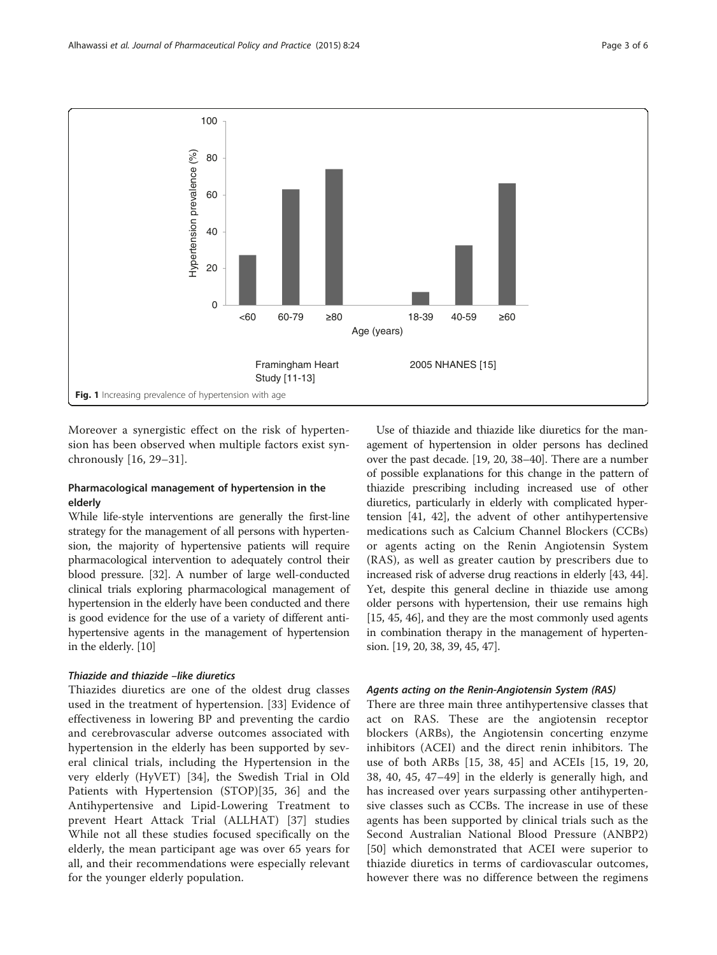<span id="page-2-0"></span>

Moreover a synergistic effect on the risk of hypertension has been observed when multiple factors exist synchronously [[16, 29](#page-4-0)–[31](#page-4-0)].

# Pharmacological management of hypertension in the elderly

While life-style interventions are generally the first-line strategy for the management of all persons with hypertension, the majority of hypertensive patients will require pharmacological intervention to adequately control their blood pressure. [[32](#page-4-0)]. A number of large well-conducted clinical trials exploring pharmacological management of hypertension in the elderly have been conducted and there is good evidence for the use of a variety of different antihypertensive agents in the management of hypertension in the elderly. [[10](#page-4-0)]

# Thiazide and thiazide -like diuretics

Thiazides diuretics are one of the oldest drug classes used in the treatment of hypertension. [[33\]](#page-5-0) Evidence of effectiveness in lowering BP and preventing the cardio and cerebrovascular adverse outcomes associated with hypertension in the elderly has been supported by several clinical trials, including the Hypertension in the very elderly (HyVET) [[34\]](#page-5-0), the Swedish Trial in Old Patients with Hypertension (STOP)[[35, 36\]](#page-5-0) and the Antihypertensive and Lipid-Lowering Treatment to prevent Heart Attack Trial (ALLHAT) [[37\]](#page-5-0) studies While not all these studies focused specifically on the elderly, the mean participant age was over 65 years for all, and their recommendations were especially relevant for the younger elderly population.

Use of thiazide and thiazide like diuretics for the management of hypertension in older persons has declined over the past decade. [\[19](#page-4-0), [20,](#page-4-0) [38](#page-5-0)–[40\]](#page-5-0). There are a number of possible explanations for this change in the pattern of thiazide prescribing including increased use of other diuretics, particularly in elderly with complicated hypertension [\[41, 42](#page-5-0)], the advent of other antihypertensive medications such as Calcium Channel Blockers (CCBs) or agents acting on the Renin Angiotensin System (RAS), as well as greater caution by prescribers due to increased risk of adverse drug reactions in elderly [\[43, 44](#page-5-0)]. Yet, despite this general decline in thiazide use among older persons with hypertension, their use remains high [[15](#page-4-0), [45](#page-5-0), [46\]](#page-5-0), and they are the most commonly used agents in combination therapy in the management of hypertension. [\[19, 20,](#page-4-0) [38](#page-5-0), [39, 45](#page-5-0), [47](#page-5-0)].

#### Agents acting on the Renin-Angiotensin System (RAS)

There are three main three antihypertensive classes that act on RAS. These are the angiotensin receptor blockers (ARBs), the Angiotensin concerting enzyme inhibitors (ACEI) and the direct renin inhibitors. The use of both ARBs [\[15](#page-4-0), [38, 45](#page-5-0)] and ACEIs [\[15](#page-4-0), [19, 20](#page-4-0), [38, 40, 45](#page-5-0), [47](#page-5-0)–[49](#page-5-0)] in the elderly is generally high, and has increased over years surpassing other antihypertensive classes such as CCBs. The increase in use of these agents has been supported by clinical trials such as the Second Australian National Blood Pressure (ANBP2) [[50\]](#page-5-0) which demonstrated that ACEI were superior to thiazide diuretics in terms of cardiovascular outcomes, however there was no difference between the regimens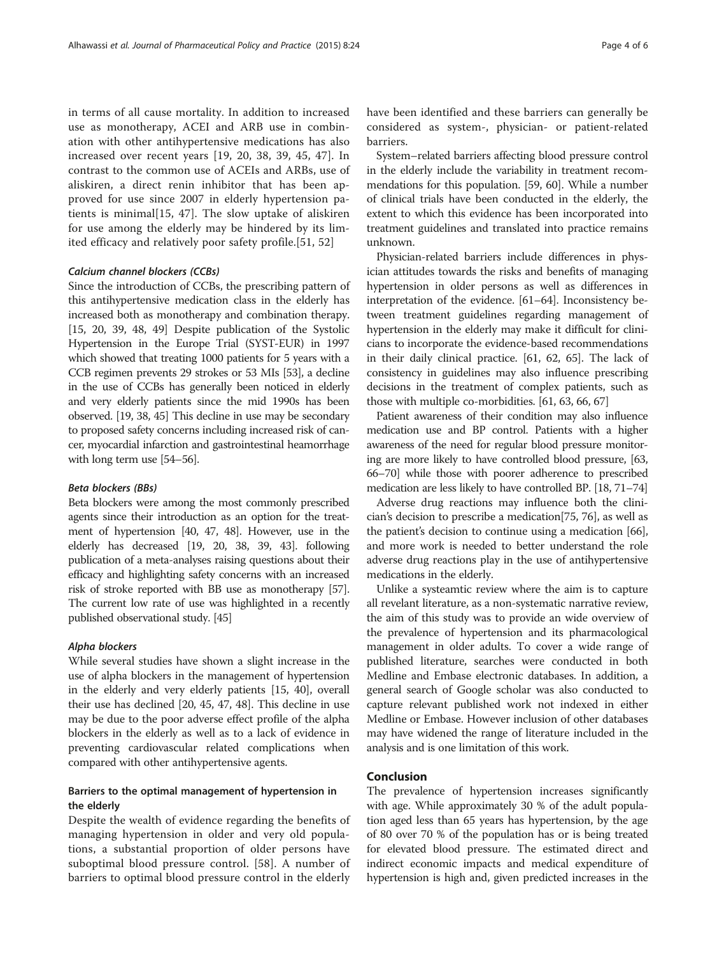in terms of all cause mortality. In addition to increased use as monotherapy, ACEI and ARB use in combination with other antihypertensive medications has also increased over recent years [[19, 20,](#page-4-0) [38](#page-5-0), [39, 45, 47](#page-5-0)]. In contrast to the common use of ACEIs and ARBs, use of aliskiren, a direct renin inhibitor that has been approved for use since 2007 in elderly hypertension patients is minimal[\[15](#page-4-0), [47\]](#page-5-0). The slow uptake of aliskiren for use among the elderly may be hindered by its limited efficacy and relatively poor safety profile.[\[51](#page-5-0), [52\]](#page-5-0)

## Calcium channel blockers (CCBs)

Since the introduction of CCBs, the prescribing pattern of this antihypertensive medication class in the elderly has increased both as monotherapy and combination therapy. [[15](#page-4-0), [20](#page-4-0), [39, 48, 49](#page-5-0)] Despite publication of the Systolic Hypertension in the Europe Trial (SYST-EUR) in 1997 which showed that treating 1000 patients for 5 years with a CCB regimen prevents 29 strokes or 53 MIs [\[53](#page-5-0)], a decline in the use of CCBs has generally been noticed in elderly and very elderly patients since the mid 1990s has been observed. [\[19,](#page-4-0) [38](#page-5-0), [45](#page-5-0)] This decline in use may be secondary to proposed safety concerns including increased risk of cancer, myocardial infarction and gastrointestinal heamorrhage with long term use [\[54](#page-5-0)–[56\]](#page-5-0).

## Beta blockers (BBs)

Beta blockers were among the most commonly prescribed agents since their introduction as an option for the treatment of hypertension [[40](#page-5-0), [47](#page-5-0), [48\]](#page-5-0). However, use in the elderly has decreased [[19, 20,](#page-4-0) [38](#page-5-0), [39, 43](#page-5-0)]. following publication of a meta-analyses raising questions about their efficacy and highlighting safety concerns with an increased risk of stroke reported with BB use as monotherapy [\[57](#page-5-0)]. The current low rate of use was highlighted in a recently published observational study. [\[45\]](#page-5-0)

#### Alpha blockers

While several studies have shown a slight increase in the use of alpha blockers in the management of hypertension in the elderly and very elderly patients [\[15,](#page-4-0) [40](#page-5-0)], overall their use has declined [\[20,](#page-4-0) [45, 47, 48](#page-5-0)]. This decline in use may be due to the poor adverse effect profile of the alpha blockers in the elderly as well as to a lack of evidence in preventing cardiovascular related complications when compared with other antihypertensive agents.

# Barriers to the optimal management of hypertension in the elderly

Despite the wealth of evidence regarding the benefits of managing hypertension in older and very old populations, a substantial proportion of older persons have suboptimal blood pressure control. [\[58\]](#page-5-0). A number of barriers to optimal blood pressure control in the elderly

have been identified and these barriers can generally be considered as system-, physician- or patient-related barriers.

System–related barriers affecting blood pressure control in the elderly include the variability in treatment recommendations for this population. [[59](#page-5-0), [60](#page-5-0)]. While a number of clinical trials have been conducted in the elderly, the extent to which this evidence has been incorporated into treatment guidelines and translated into practice remains unknown.

Physician-related barriers include differences in physician attitudes towards the risks and benefits of managing hypertension in older persons as well as differences in interpretation of the evidence. [\[61](#page-5-0)–[64](#page-5-0)]. Inconsistency between treatment guidelines regarding management of hypertension in the elderly may make it difficult for clinicians to incorporate the evidence-based recommendations in their daily clinical practice. [[61](#page-5-0), [62, 65\]](#page-5-0). The lack of consistency in guidelines may also influence prescribing decisions in the treatment of complex patients, such as those with multiple co-morbidities. [\[61](#page-5-0), [63](#page-5-0), [66, 67](#page-5-0)]

Patient awareness of their condition may also influence medication use and BP control. Patients with a higher awareness of the need for regular blood pressure monitoring are more likely to have controlled blood pressure, [\[63](#page-5-0), [66](#page-5-0)–[70](#page-5-0)] while those with poorer adherence to prescribed medication are less likely to have controlled BP. [[18](#page-4-0), [71](#page-5-0)–[74](#page-5-0)]

Adverse drug reactions may influence both the clinician's decision to prescribe a medication[\[75, 76](#page-5-0)], as well as the patient's decision to continue using a medication [[66](#page-5-0)], and more work is needed to better understand the role adverse drug reactions play in the use of antihypertensive medications in the elderly.

Unlike a systeamtic review where the aim is to capture all revelant literature, as a non-systematic narrative review, the aim of this study was to provide an wide overview of the prevalence of hypertension and its pharmacological management in older adults. To cover a wide range of published literature, searches were conducted in both Medline and Embase electronic databases. In addition, a general search of Google scholar was also conducted to capture relevant published work not indexed in either Medline or Embase. However inclusion of other databases may have widened the range of literature included in the analysis and is one limitation of this work.

# Conclusion

The prevalence of hypertension increases significantly with age. While approximately 30 % of the adult population aged less than 65 years has hypertension, by the age of 80 over 70 % of the population has or is being treated for elevated blood pressure. The estimated direct and indirect economic impacts and medical expenditure of hypertension is high and, given predicted increases in the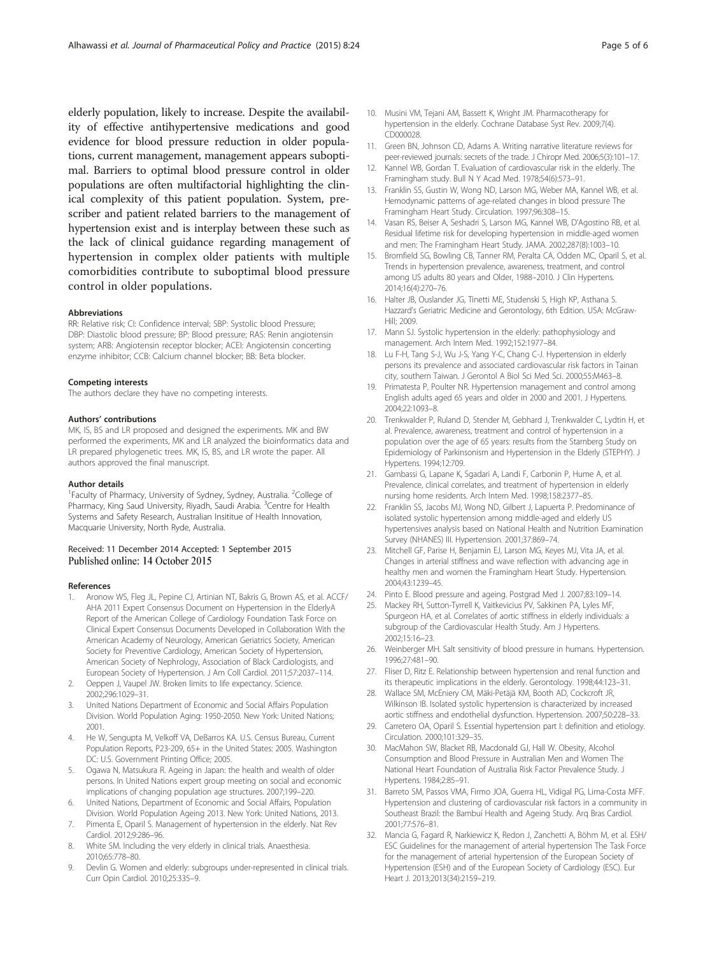<span id="page-4-0"></span>elderly population, likely to increase. Despite the availability of effective antihypertensive medications and good evidence for blood pressure reduction in older populations, current management, management appears suboptimal. Barriers to optimal blood pressure control in older populations are often multifactorial highlighting the clinical complexity of this patient population. System, prescriber and patient related barriers to the management of hypertension exist and is interplay between these such as the lack of clinical guidance regarding management of hypertension in complex older patients with multiple comorbidities contribute to suboptimal blood pressure control in older populations.

#### Abbreviations

RR: Relative risk; CI: Confidence interval; SBP: Systolic blood Pressure; DBP: Diastolic blood pressure; BP: Blood pressure; RAS: Renin angiotensin system; ARB: Angiotensin receptor blocker; ACEI: Angiotensin concerting enzyme inhibitor; CCB: Calcium channel blocker; BB: Beta blocker.

#### Competing interests

The authors declare they have no competing interests.

#### Authors' contributions

MK, IS, BS and LR proposed and designed the experiments. MK and BW performed the experiments, MK and LR analyzed the bioinformatics data and LR prepared phylogenetic trees. MK, IS, BS, and LR wrote the paper. All authors approved the final manuscript.

#### Author details

<sup>1</sup> Faculty of Pharmacy, University of Sydney, Sydney, Australia. <sup>2</sup>College of Pharmacy, King Saud University, Riyadh, Saudi Arabia. <sup>3</sup>Centre for Health Systems and Safety Research, Australian Insititue of Health Innovation, Macquarie University, North Ryde, Australia.

#### Received: 11 December 2014 Accepted: 1 September 2015 Published online: 14 October 2015

#### References

- Aronow WS, Fleg JL, Pepine CJ, Artinian NT, Bakris G, Brown AS, et al. ACCF/ AHA 2011 Expert Consensus Document on Hypertension in the ElderlyA Report of the American College of Cardiology Foundation Task Force on Clinical Expert Consensus Documents Developed in Collaboration With the American Academy of Neurology, American Geriatrics Society, American Society for Preventive Cardiology, American Society of Hypertension, American Society of Nephrology, Association of Black Cardiologists, and European Society of Hypertension. J Am Coll Cardiol. 2011;57:2037–114.
- 2. Oeppen J, Vaupel JW. Broken limits to life expectancy. Science. 2002;296:1029–31.
- 3. United Nations Department of Economic and Social Affairs Population Division. World Population Aging: 1950-2050. New York: United Nations; 2001.
- 4. He W, Sengupta M, Velkoff VA, DeBarros KA. U.S. Census Bureau, Current Population Reports, P23-209, 65+ in the United States: 2005. Washington DC: U.S. Government Printing Office; 2005.
- 5. Ogawa N, Matsukura R. Ageing in Japan: the health and wealth of older persons. In United Nations expert group meeting on social and economic implications of changing population age structures. 2007;199–220.
- 6. United Nations, Department of Economic and Social Affairs, Population Division. World Population Ageing 2013. New York: United Nations, 2013.
- 7. Pimenta E, Oparil S. Management of hypertension in the elderly. Nat Rev Cardiol. 2012;9:286–96.
- White SM. Including the very elderly in clinical trials. Anaesthesia. 2010;65:778–80.
- 9. Devlin G. Women and elderly: subgroups under-represented in clinical trials. Curr Opin Cardiol. 2010;25:335–9.
- 10. Musini VM, Tejani AM, Bassett K, Wright JM. Pharmacotherapy for hypertension in the elderly. Cochrane Database Syst Rev. 2009;7(4). CD000028.
- 11. Green BN, Johnson CD, Adams A. Writing narrative literature reviews for peer-reviewed journals: secrets of the trade. J Chiropr Med. 2006;5(3):101–17.
- 12. Kannel WB, Gordan T. Evaluation of cardiovascular risk in the elderly. The Framingham study. Bull N Y Acad Med. 1978;54(6):573–91.
- 13. Franklin SS, Gustin W, Wong ND, Larson MG, Weber MA, Kannel WB, et al. Hemodynamic patterns of age-related changes in blood pressure The Framingham Heart Study. Circulation. 1997;96:308–15.
- 14. Vasan RS, Beiser A, Seshadri S, Larson MG, Kannel WB, D'Agostino RB, et al. Residual lifetime risk for developing hypertension in middle-aged women and men: The Framingham Heart Study. JAMA. 2002;287(8):1003–10.
- 15. Bromfield SG, Bowling CB, Tanner RM, Peralta CA, Odden MC, Oparil S, et al. Trends in hypertension prevalence, awareness, treatment, and control among US adults 80 years and Older, 1988–2010. J Clin Hypertens. 2014;16(4):270–76.
- 16. Halter JB, Ouslander JG, Tinetti ME, Studenski S, High KP, Asthana S. Hazzard's Geriatric Medicine and Gerontology, 6th Edition. USA: McGraw-Hill; 2009.
- 17. Mann SJ. Systolic hypertension in the elderly: pathophysiology and management. Arch Intern Med. 1992;152:1977–84.
- 18. Lu F-H, Tang S-J, Wu J-S, Yang Y-C, Chang C-J. Hypertension in elderly persons its prevalence and associated cardiovascular risk factors in Tainan city, southern Taiwan. J Gerontol A Biol Sci Med Sci. 2000;55:M463–8.
- 19. Primatesta P, Poulter NR. Hypertension management and control among English adults aged 65 years and older in 2000 and 2001. J Hypertens. 2004;22:1093–8.
- 20. Trenkwalder P, Ruland D, Stender M, Gebhard J, Trenkwalder C, Lydtin H, et al. Prevalence, awareness, treatment and control of hypertension in a population over the age of 65 years: results from the Starnberg Study on Epidemiology of Parkinsonism and Hypertension in the Elderly (STEPHY). J Hypertens. 1994;12:709.
- 21. Gambassi G, Lapane K, Sgadari A, Landi F, Carbonin P, Hume A, et al. Prevalence, clinical correlates, and treatment of hypertension in elderly nursing home residents. Arch Intern Med. 1998;158:2377–85.
- 22. Franklin SS, Jacobs MJ, Wong ND, Gilbert J, Lapuerta P. Predominance of isolated systolic hypertension among middle-aged and elderly US hypertensives analysis based on National Health and Nutrition Examination Survey (NHANES) III. Hypertension. 2001;37:869–74.
- 23. Mitchell GF, Parise H, Benjamin EJ, Larson MG, Keyes MJ, Vita JA, et al. Changes in arterial stiffness and wave reflection with advancing age in healthy men and women the Framingham Heart Study. Hypertension. 2004;43:1239–45.
- 24. Pinto E. Blood pressure and ageing. Postgrad Med J. 2007;83:109–14.
- 25. Mackey RH, Sutton-Tyrrell K, Vaitkevicius PV, Sakkinen PA, Lyles MF, Spurgeon HA, et al. Correlates of aortic stiffness in elderly individuals: a subgroup of the Cardiovascular Health Study. Am J Hypertens. 2002;15:16–23.
- 26. Weinberger MH. Salt sensitivity of blood pressure in humans. Hypertension. 1996;27:481–90.
- 27. Fliser D, Ritz E. Relationship between hypertension and renal function and its therapeutic implications in the elderly. Gerontology. 1998;44:123–31.
- 28. Wallace SM, McEniery CM, Mäki-Petäjä KM, Booth AD, Cockcroft JR, Wilkinson IB. Isolated systolic hypertension is characterized by increased aortic stiffness and endothelial dysfunction. Hypertension. 2007;50:228–33.
- 29. Carretero OA, Oparil S. Essential hypertension part I: definition and etiology. Circulation. 2000;101:329–35.
- 30. MacMahon SW, Blacket RB, Macdonald GJ, Hall W. Obesity, Alcohol Consumption and Blood Pressure in Australian Men and Women The National Heart Foundation of Australia Risk Factor Prevalence Study. J Hypertens. 1984;2:85–91.
- 31. Barreto SM, Passos VMA, Firmo JOA, Guerra HL, Vidigal PG, Lima-Costa MFF. Hypertension and clustering of cardiovascular risk factors in a community in Southeast Brazil: the Bambuí Health and Ageing Study. Arq Bras Cardiol. 2001;77:576–81.
- 32. Mancia G, Fagard R, Narkiewicz K, Redon J, Zanchetti A, Böhm M, et al. ESH/ ESC Guidelines for the management of arterial hypertension The Task Force for the management of arterial hypertension of the European Society of Hypertension (ESH) and of the European Society of Cardiology (ESC). Eur Heart J. 2013;2013(34):2159–219.